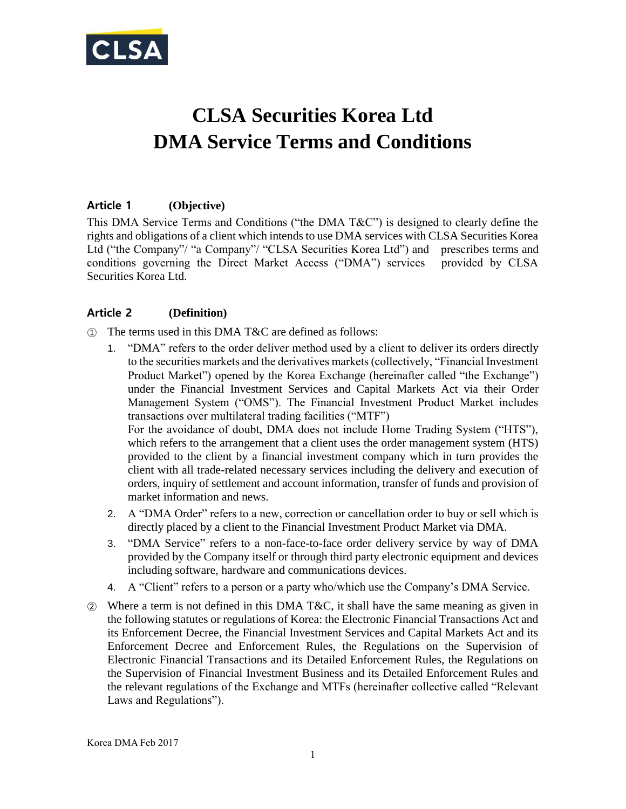

# **CLSA Securities Korea Ltd DMA Service Terms and Conditions**

# **Article 1 (Objective)**

This DMA Service Terms and Conditions ("the DMA T&C") is designed to clearly define the rights and obligations of a client which intends to use DMA services with CLSA Securities Korea Ltd ("the Company"/ "a Company"/ "CLSA Securities Korea Ltd") and prescribes terms and conditions governing the Direct Market Access ("DMA") services provided by CLSA Securities Korea Ltd.

### **Article 2 (Definition)**

- ① The terms used in this DMA T&C are defined as follows:
	- 1. "DMA" refers to the order deliver method used by a client to deliver its orders directly to the securities markets and the derivatives markets (collectively, "Financial Investment Product Market") opened by the Korea Exchange (hereinafter called "the Exchange") under the Financial Investment Services and Capital Markets Act via their Order Management System ("OMS"). The Financial Investment Product Market includes transactions over multilateral trading facilities ("MTF") For the avoidance of doubt, DMA does not include Home Trading System ("HTS"), which refers to the arrangement that a client uses the order management system (HTS) provided to the client by a financial investment company which in turn provides the client with all trade-related necessary services including the delivery and execution of orders, inquiry of settlement and account information, transfer of funds and provision of market information and news.
	- 2. A "DMA Order" refers to a new, correction or cancellation order to buy or sell which is directly placed by a client to the Financial Investment Product Market via DMA.
	- 3. "DMA Service" refers to a non-face-to-face order delivery service by way of DMA provided by the Company itself or through third party electronic equipment and devices including software, hardware and communications devices.
	- 4. A "Client" refers to a person or a party who/which use the Company's DMA Service.
- ② Where a term is not defined in this DMA T&C, it shall have the same meaning as given in the following statutes or regulations of Korea: the Electronic Financial Transactions Act and its Enforcement Decree, the Financial Investment Services and Capital Markets Act and its Enforcement Decree and Enforcement Rules, the Regulations on the Supervision of Electronic Financial Transactions and its Detailed Enforcement Rules, the Regulations on the Supervision of Financial Investment Business and its Detailed Enforcement Rules and the relevant regulations of the Exchange and MTFs (hereinafter collective called "Relevant Laws and Regulations").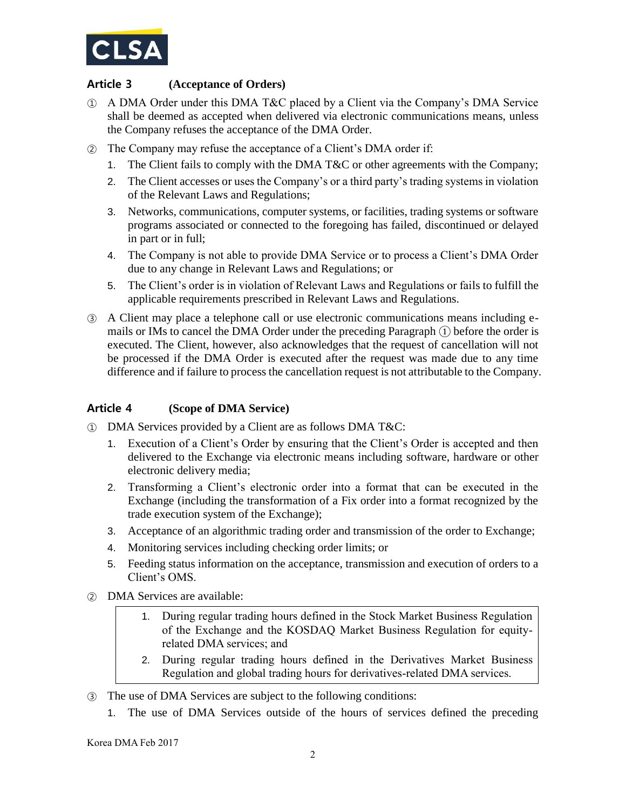

# **Article 3 (Acceptance of Orders)**

- ① A DMA Order under this DMA T&C placed by a Client via the Company's DMA Service shall be deemed as accepted when delivered via electronic communications means, unless the Company refuses the acceptance of the DMA Order.
- ② The Company may refuse the acceptance of a Client's DMA order if:
	- 1. The Client fails to comply with the DMA T&C or other agreements with the Company;
	- 2. The Client accesses or uses the Company's or a third party's trading systems in violation of the Relevant Laws and Regulations;
	- 3. Networks, communications, computer systems, or facilities, trading systems or software programs associated or connected to the foregoing has failed, discontinued or delayed in part or in full;
	- 4. The Company is not able to provide DMA Service or to process a Client's DMA Order due to any change in Relevant Laws and Regulations; or
	- 5. The Client's order is in violation of Relevant Laws and Regulations or fails to fulfill the applicable requirements prescribed in Relevant Laws and Regulations.
- ③ A Client may place a telephone call or use electronic communications means including emails or IMs to cancel the DMA Order under the preceding Paragraph ① before the order is executed. The Client, however, also acknowledges that the request of cancellation will not be processed if the DMA Order is executed after the request was made due to any time difference and if failure to process the cancellation request is not attributable to the Company.

#### **Article 4 (Scope of DMA Service)**

- ① DMA Services provided by a Client are as follows DMA T&C:
	- 1. Execution of a Client's Order by ensuring that the Client's Order is accepted and then delivered to the Exchange via electronic means including software, hardware or other electronic delivery media;
	- 2. Transforming a Client's electronic order into a format that can be executed in the Exchange (including the transformation of a Fix order into a format recognized by the trade execution system of the Exchange);
	- 3. Acceptance of an algorithmic trading order and transmission of the order to Exchange;
	- 4. Monitoring services including checking order limits; or
	- 5. Feeding status information on the acceptance, transmission and execution of orders to a Client's OMS.
- ② DMA Services are available:
	- 1. During regular trading hours defined in the Stock Market Business Regulation of the Exchange and the KOSDAQ Market Business Regulation for equityrelated DMA services; and
	- 2. During regular trading hours defined in the Derivatives Market Business Regulation and global trading hours for derivatives-related DMA services.
- ③ The use of DMA Services are subject to the following conditions:
	- 1. The use of DMA Services outside of the hours of services defined the preceding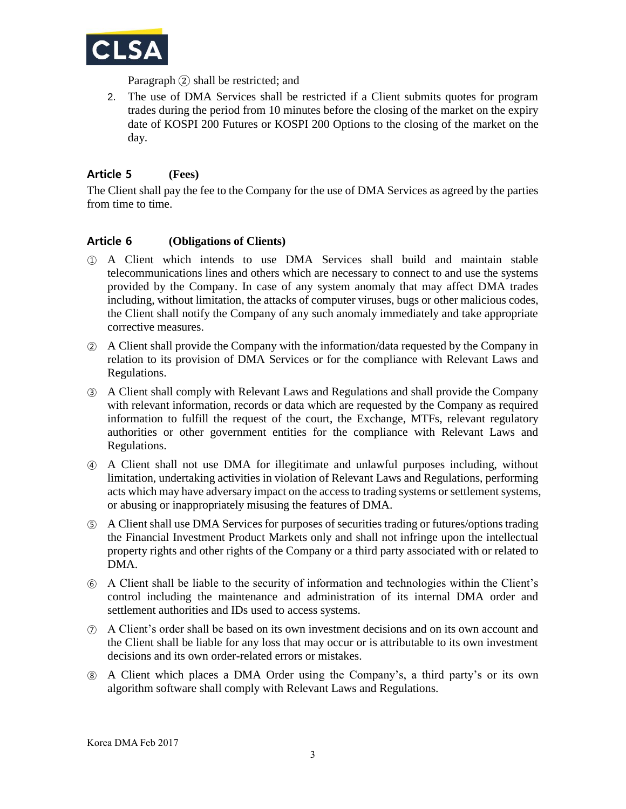

Paragraph ② shall be restricted; and

2. The use of DMA Services shall be restricted if a Client submits quotes for program trades during the period from 10 minutes before the closing of the market on the expiry date of KOSPI 200 Futures or KOSPI 200 Options to the closing of the market on the day.

## **Article 5 (Fees)**

The Client shall pay the fee to the Company for the use of DMA Services as agreed by the parties from time to time.

#### **Article 6 (Obligations of Clients)**

- ① A Client which intends to use DMA Services shall build and maintain stable telecommunications lines and others which are necessary to connect to and use the systems provided by the Company. In case of any system anomaly that may affect DMA trades including, without limitation, the attacks of computer viruses, bugs or other malicious codes, the Client shall notify the Company of any such anomaly immediately and take appropriate corrective measures.
- ② A Client shall provide the Company with the information/data requested by the Company in relation to its provision of DMA Services or for the compliance with Relevant Laws and Regulations.
- ③ A Client shall comply with Relevant Laws and Regulations and shall provide the Company with relevant information, records or data which are requested by the Company as required information to fulfill the request of the court, the Exchange, MTFs, relevant regulatory authorities or other government entities for the compliance with Relevant Laws and Regulations.
- ④ A Client shall not use DMA for illegitimate and unlawful purposes including, without limitation, undertaking activities in violation of Relevant Laws and Regulations, performing acts which may have adversary impact on the access to trading systems or settlement systems, or abusing or inappropriately misusing the features of DMA.
- ⑤ A Client shall use DMA Services for purposes of securities trading or futures/options trading the Financial Investment Product Markets only and shall not infringe upon the intellectual property rights and other rights of the Company or a third party associated with or related to DMA.
- ⑥ A Client shall be liable to the security of information and technologies within the Client's control including the maintenance and administration of its internal DMA order and settlement authorities and IDs used to access systems.
- ⑦ A Client's order shall be based on its own investment decisions and on its own account and the Client shall be liable for any loss that may occur or is attributable to its own investment decisions and its own order-related errors or mistakes.
- ⑧ A Client which places a DMA Order using the Company's, a third party's or its own algorithm software shall comply with Relevant Laws and Regulations.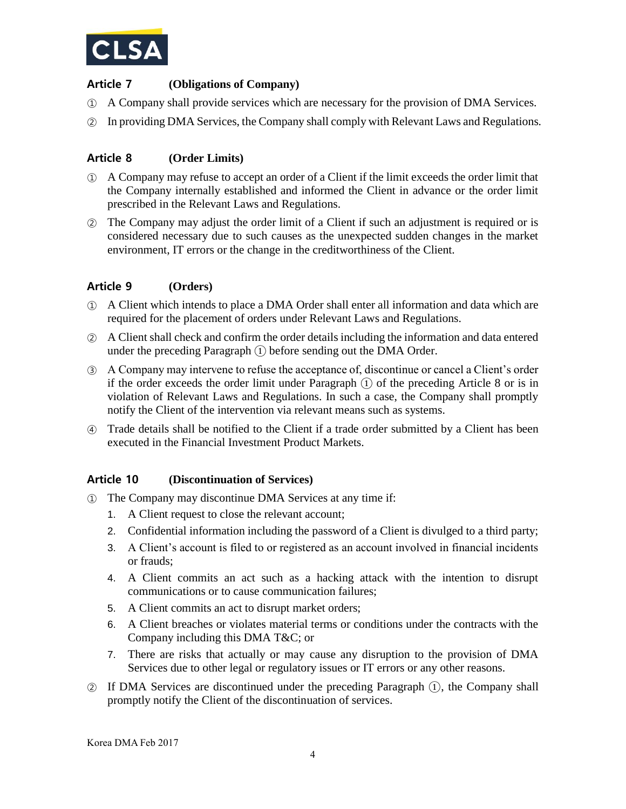

## **Article 7 (Obligations of Company)**

- ① A Company shall provide services which are necessary for the provision of DMA Services.
- ② In providing DMA Services, the Company shall comply with Relevant Laws and Regulations.

# **Article 8 (Order Limits)**

- ① A Company may refuse to accept an order of a Client if the limit exceeds the order limit that the Company internally established and informed the Client in advance or the order limit prescribed in the Relevant Laws and Regulations.
- ② The Company may adjust the order limit of a Client if such an adjustment is required or is considered necessary due to such causes as the unexpected sudden changes in the market environment, IT errors or the change in the creditworthiness of the Client.

### **Article 9 (Orders)**

- ① A Client which intends to place a DMA Order shall enter all information and data which are required for the placement of orders under Relevant Laws and Regulations.
- ② A Client shall check and confirm the order details including the information and data entered under the preceding Paragraph  $(1)$  before sending out the DMA Order.
- ③ A Company may intervene to refuse the acceptance of, discontinue or cancel a Client's order if the order exceeds the order limit under Paragraph ① of the preceding Article 8 or is in violation of Relevant Laws and Regulations. In such a case, the Company shall promptly notify the Client of the intervention via relevant means such as systems.
- ④ Trade details shall be notified to the Client if a trade order submitted by a Client has been executed in the Financial Investment Product Markets.

#### **Article 10 (Discontinuation of Services)**

- ① The Company may discontinue DMA Services at any time if:
	- 1. A Client request to close the relevant account;
	- 2. Confidential information including the password of a Client is divulged to a third party;
	- 3. A Client's account is filed to or registered as an account involved in financial incidents or frauds;
	- 4. A Client commits an act such as a hacking attack with the intention to disrupt communications or to cause communication failures;
	- 5. A Client commits an act to disrupt market orders;
	- 6. A Client breaches or violates material terms or conditions under the contracts with the Company including this DMA T&C; or
	- 7. There are risks that actually or may cause any disruption to the provision of DMA Services due to other legal or regulatory issues or IT errors or any other reasons.
- ② If DMA Services are discontinued under the preceding Paragraph ①, the Company shall promptly notify the Client of the discontinuation of services.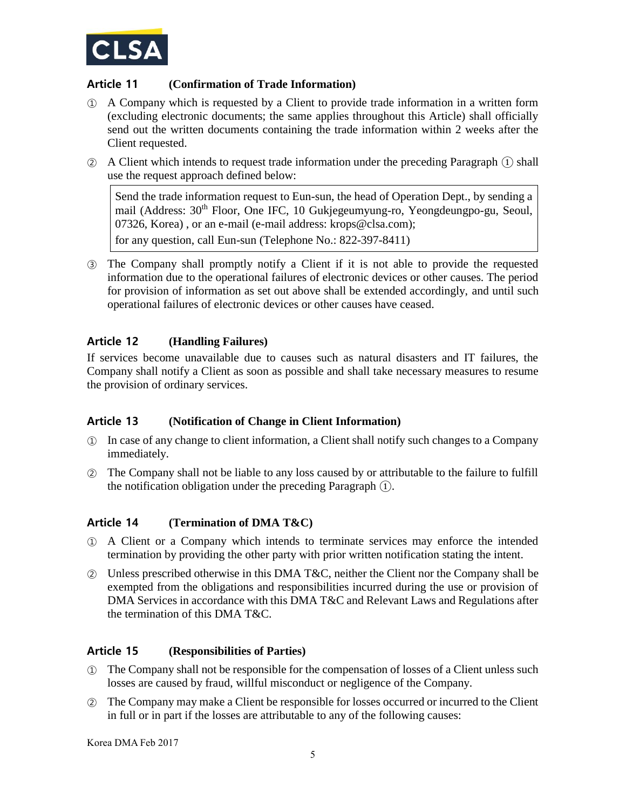

# **Article 11 (Confirmation of Trade Information)**

- ① A Company which is requested by a Client to provide trade information in a written form (excluding electronic documents; the same applies throughout this Article) shall officially send out the written documents containing the trade information within 2 weeks after the Client requested.
- ② A Client which intends to request trade information under the preceding Paragraph ① shall use the request approach defined below:

Send the trade information request to Eun-sun, the head of Operation Dept., by sending a mail (Address: 30th Floor, One IFC, 10 Gukjegeumyung-ro, Yeongdeungpo-gu, Seoul, 07326, Korea) , or an e-mail (e-mail address: krops@clsa.com);

for any question, call Eun-sun (Telephone No.: 822-397-8411)

③ The Company shall promptly notify a Client if it is not able to provide the requested information due to the operational failures of electronic devices or other causes. The period for provision of information as set out above shall be extended accordingly, and until such operational failures of electronic devices or other causes have ceased.

### **Article 12 (Handling Failures)**

If services become unavailable due to causes such as natural disasters and IT failures, the Company shall notify a Client as soon as possible and shall take necessary measures to resume the provision of ordinary services.

#### **Article 13 (Notification of Change in Client Information)**

- ① In case of any change to client information, a Client shall notify such changes to a Company immediately.
- ② The Company shall not be liable to any loss caused by or attributable to the failure to fulfill the notification obligation under the preceding Paragraph ①.

#### **Article 14 (Termination of DMA T&C)**

- ① A Client or a Company which intends to terminate services may enforce the intended termination by providing the other party with prior written notification stating the intent.
- ② Unless prescribed otherwise in this DMA T&C, neither the Client nor the Company shall be exempted from the obligations and responsibilities incurred during the use or provision of DMA Services in accordance with this DMA T&C and Relevant Laws and Regulations after the termination of this DMA T&C.

#### **Article 15 (Responsibilities of Parties)**

- ① The Company shall not be responsible for the compensation of losses of a Client unless such losses are caused by fraud, willful misconduct or negligence of the Company.
- ② The Company may make a Client be responsible for losses occurred or incurred to the Client in full or in part if the losses are attributable to any of the following causes:

Korea DMA Feb 2017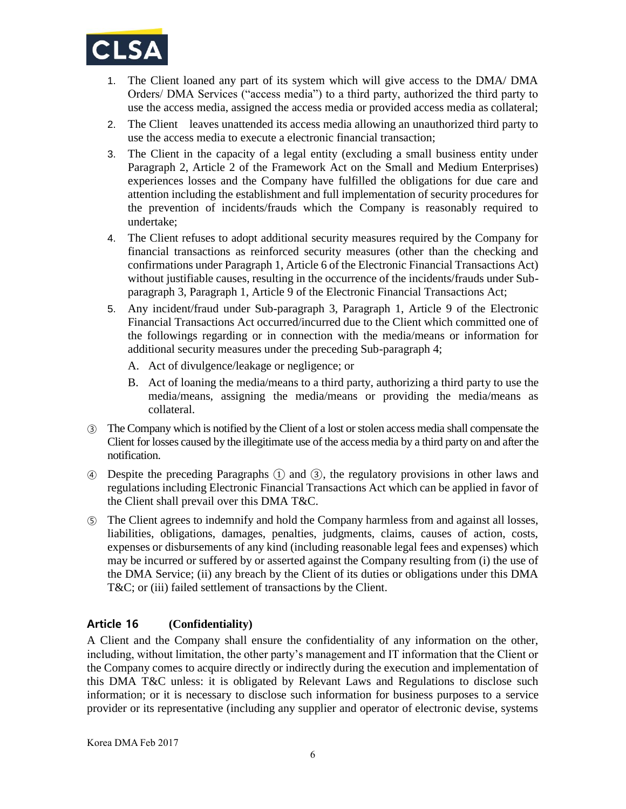

- 1. The Client loaned any part of its system which will give access to the DMA/ DMA Orders/ DMA Services ("access media") to a third party, authorized the third party to use the access media, assigned the access media or provided access media as collateral;
- 2. The Client leaves unattended its access media allowing an unauthorized third party to use the access media to execute a electronic financial transaction;
- 3. The Client in the capacity of a legal entity (excluding a small business entity under Paragraph 2, Article 2 of the Framework Act on the Small and Medium Enterprises) experiences losses and the Company have fulfilled the obligations for due care and attention including the establishment and full implementation of security procedures for the prevention of incidents/frauds which the Company is reasonably required to undertake;
- 4. The Client refuses to adopt additional security measures required by the Company for financial transactions as reinforced security measures (other than the checking and confirmations under Paragraph 1, Article 6 of the Electronic Financial Transactions Act) without justifiable causes, resulting in the occurrence of the incidents/frauds under Subparagraph 3, Paragraph 1, Article 9 of the Electronic Financial Transactions Act;
- 5. Any incident/fraud under Sub-paragraph 3, Paragraph 1, Article 9 of the Electronic Financial Transactions Act occurred/incurred due to the Client which committed one of the followings regarding or in connection with the media/means or information for additional security measures under the preceding Sub-paragraph 4;
	- A. Act of divulgence/leakage or negligence; or
	- B. Act of loaning the media/means to a third party, authorizing a third party to use the media/means, assigning the media/means or providing the media/means as collateral.
- ③ The Company which is notified by the Client of a lost or stolen access media shall compensate the Client for losses caused by the illegitimate use of the access media by a third party on and after the notification.
- ④ Despite the preceding Paragraphs ① and ③, the regulatory provisions in other laws and regulations including Electronic Financial Transactions Act which can be applied in favor of the Client shall prevail over this DMA T&C.
- ⑤ The Client agrees to indemnify and hold the Company harmless from and against all losses, liabilities, obligations, damages, penalties, judgments, claims, causes of action, costs, expenses or disbursements of any kind (including reasonable legal fees and expenses) which may be incurred or suffered by or asserted against the Company resulting from (i) the use of the DMA Service; (ii) any breach by the Client of its duties or obligations under this DMA T&C; or (iii) failed settlement of transactions by the Client.

# **Article 16 (Confidentiality)**

A Client and the Company shall ensure the confidentiality of any information on the other, including, without limitation, the other party's management and IT information that the Client or the Company comes to acquire directly or indirectly during the execution and implementation of this DMA T&C unless: it is obligated by Relevant Laws and Regulations to disclose such information; or it is necessary to disclose such information for business purposes to a service provider or its representative (including any supplier and operator of electronic devise, systems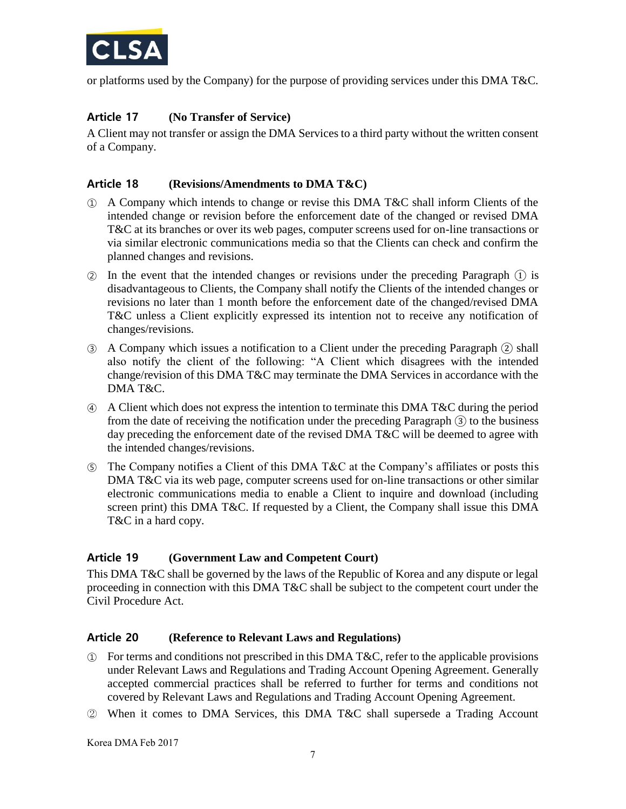

or platforms used by the Company) for the purpose of providing services under this DMA T&C.

## **Article 17 (No Transfer of Service)**

A Client may not transfer or assign the DMA Services to a third party without the written consent of a Company.

#### **Article 18 (Revisions/Amendments to DMA T&C)**

- ① A Company which intends to change or revise this DMA T&C shall inform Clients of the intended change or revision before the enforcement date of the changed or revised DMA T&C at its branches or over its web pages, computer screens used for on-line transactions or via similar electronic communications media so that the Clients can check and confirm the planned changes and revisions.
- ② In the event that the intended changes or revisions under the preceding Paragraph ① is disadvantageous to Clients, the Company shall notify the Clients of the intended changes or revisions no later than 1 month before the enforcement date of the changed/revised DMA T&C unless a Client explicitly expressed its intention not to receive any notification of changes/revisions.
- ③ A Company which issues a notification to a Client under the preceding Paragraph ② shall also notify the client of the following: "A Client which disagrees with the intended change/revision of this DMA T&C may terminate the DMA Services in accordance with the DMA T&C.
- ④ A Client which does not express the intention to terminate this DMA T&C during the period from the date of receiving the notification under the preceding Paragraph ③ to the business day preceding the enforcement date of the revised DMA T&C will be deemed to agree with the intended changes/revisions.
- ⑤ The Company notifies a Client of this DMA T&C at the Company's affiliates or posts this DMA T&C via its web page, computer screens used for on-line transactions or other similar electronic communications media to enable a Client to inquire and download (including screen print) this DMA T&C. If requested by a Client, the Company shall issue this DMA T&C in a hard copy.

#### **Article 19 (Government Law and Competent Court)**

This DMA T&C shall be governed by the laws of the Republic of Korea and any dispute or legal proceeding in connection with this DMA T&C shall be subject to the competent court under the Civil Procedure Act.

#### **Article 20 (Reference to Relevant Laws and Regulations)**

- ① For terms and conditions not prescribed in this DMA T&C, refer to the applicable provisions under Relevant Laws and Regulations and Trading Account Opening Agreement. Generally accepted commercial practices shall be referred to further for terms and conditions not covered by Relevant Laws and Regulations and Trading Account Opening Agreement.
- ② When it comes to DMA Services, this DMA T&C shall supersede a Trading Account

Korea DMA Feb 2017